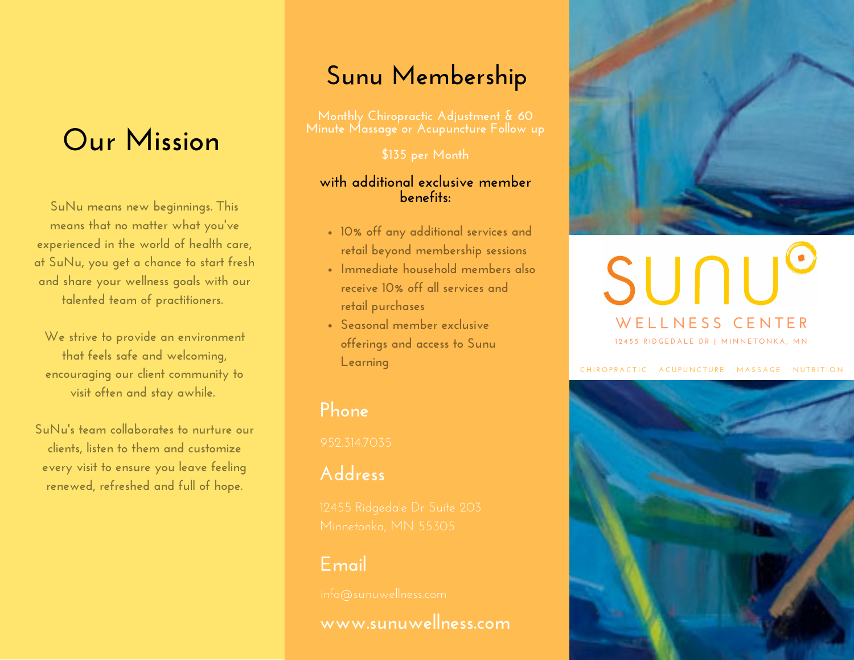# **Our Mission**

**SuNu means new beginnings. This means that no matter what you ' ve experienced in the world of health care, at SuNu, you get a chance to start fresh and share your wellness goals with our talented team of practitioners.**

**We strive to provide an environment that feels safe and welcoming, encouraging our client community to visit often and stay awhile.**

**SuNu 's team collaborates to nurture our clients, listen to them and customize every visit to ensure you leave feeling renewed, refreshed and full of hope.**

# **Sunu Membership**

**\$135 per Month**

#### **with additional exclusive member benefits:**

- **10% off any additional services and retail beyond membership sessions**
- **Immediate household members also receive 10% off all services and retail purchases**
- **Seasonal member exclusive offerings and access to Sunu Learning**

## **Phone**

# **Address**

## **Email**

**www.sunuwellness.com**



# SUNU **W E L L N E S S C E N T E R** 12455 RIDGEDALE DR | MINNETONKA, MN

CHIROPRACTIC ACUPUNCTURE MASSAGE NUTRITION